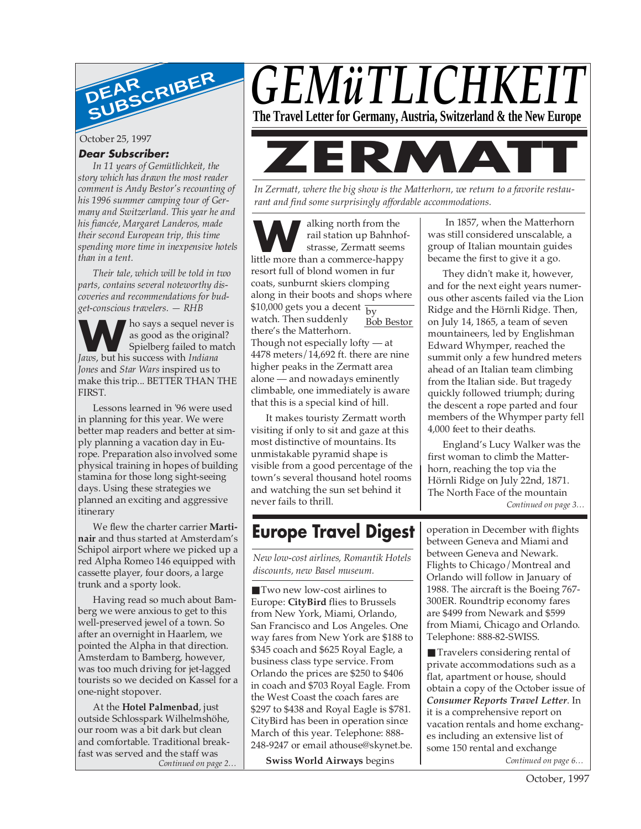

October 25, 1997

### **Dear Subscriber:**

*In 11 years of Gemütlichkeit, the story which has drawn the most reader comment is Andy Bestor's recounting of his 1996 summer camping tour of Germany and Switzerland. This year he and his fiancée, Margaret Landeros, made their second European trip, this time spending more time in inexpensive hotels than in a tent.*

*Their tale, which will be told in two parts, contains several noteworthy discoveries and recommendations for budget-conscious travelers. — RHB*

**W** as good as the origin spielberg failed to m *Jaws*, but his success with *Indiana* ho says a sequel never is as good as the original? Spielberg failed to match *Jones* and *Star Wars* inspired us to make this trip... BETTER THAN THE FIRST.

Lessons learned in '96 were used in planning for this year. We were better map readers and better at simply planning a vacation day in Europe. Preparation also involved some physical training in hopes of building stamina for those long sight-seeing days. Using these strategies we planned an exciting and aggressive itinerary

We flew the charter carrier **Martinair** and thus started at Amsterdam's Schipol airport where we picked up a red Alpha Romeo 146 equipped with cassette player, four doors, a large trunk and a sporty look.

Having read so much about Bamberg we were anxious to get to this well-preserved jewel of a town. So after an overnight in Haarlem, we pointed the Alpha in that direction. Amsterdam to Bamberg, however, was too much driving for jet-lagged tourists so we decided on Kassel for a one-night stopover.

*Continued on page 2…* At the **Hotel Palmenbad**, just outside Schlosspark Wilhelmshöhe, our room was a bit dark but clean and comfortable. Traditional breakfast was served and the staff was



*In Zermatt, where the big show is the Matterhorn, we return to a favorite restaurant and find some surprisingly affordable accommodations.*

\$10,000 gets you a decent  $\frac{1}{\text{by}}$ Bob Bestor **W**alking north from the rail station up Bahnho strasse, Zermatt seems little more than a commerce-happy rail station up Bahnhofstrasse, Zermatt seems resort full of blond women in fur coats, sunburnt skiers clomping along in their boots and shops where watch. Then suddenly there's the Matterhorn. Though not especially lofty — at 4478 meters/14,692 ft. there are nine higher peaks in the Zermatt area alone — and nowadays eminently climbable, one immediately is aware that this is a special kind of hill.

It makes touristy Zermatt worth visiting if only to sit and gaze at this most distinctive of mountains. Its unmistakable pyramid shape is visible from a good percentage of the town's several thousand hotel rooms and watching the sun set behind it never fails to thrill.

# **Europe Travel Digest**

*New low-cost airlines, Romantik Hotels discounts, new Basel museum.*

■ Two new low-cost airlines to Europe: **CityBird** flies to Brussels from New York, Miami, Orlando, San Francisco and Los Angeles. One way fares from New York are \$188 to \$345 coach and \$625 Royal Eagle, a business class type service. From Orlando the prices are \$250 to \$406 in coach and \$703 Royal Eagle. From the West Coast the coach fares are \$297 to \$438 and Royal Eagle is \$781. CityBird has been in operation since March of this year. Telephone: 888- 248-9247 or email athouse@skynet.be.

**Swiss World Airways** begins

 In 1857, when the Matterhorn was still considered unscalable, a group of Italian mountain guides became the first to give it a go.

They didn't make it, however, and for the next eight years numerous other ascents failed via the Lion Ridge and the Hörnli Ridge. Then, on July 14, 1865, a team of seven mountaineers, led by Englishman Edward Whymper, reached the summit only a few hundred meters ahead of an Italian team climbing from the Italian side. But tragedy quickly followed triumph; during the descent a rope parted and four members of the Whymper party fell 4,000 feet to their deaths.

England's Lucy Walker was the first woman to climb the Matterhorn, reaching the top via the Hörnli Ridge on July 22nd, 1871. The North Face of the mountain *Continued on page 3…*

operation in December with flights between Geneva and Miami and between Geneva and Newark. Flights to Chicago/Montreal and Orlando will follow in January of 1988. The aircraft is the Boeing 767- 300ER. Roundtrip economy fares are \$499 from Newark and \$599 from Miami, Chicago and Orlando. Telephone: 888-82-SWISS.

*Continued on page 6…* ■ Travelers considering rental of private accommodations such as a flat, apartment or house, should obtain a copy of the October issue of *Consumer Reports Travel Letter*. In it is a comprehensive report on vacation rentals and home exchanges including an extensive list of some 150 rental and exchange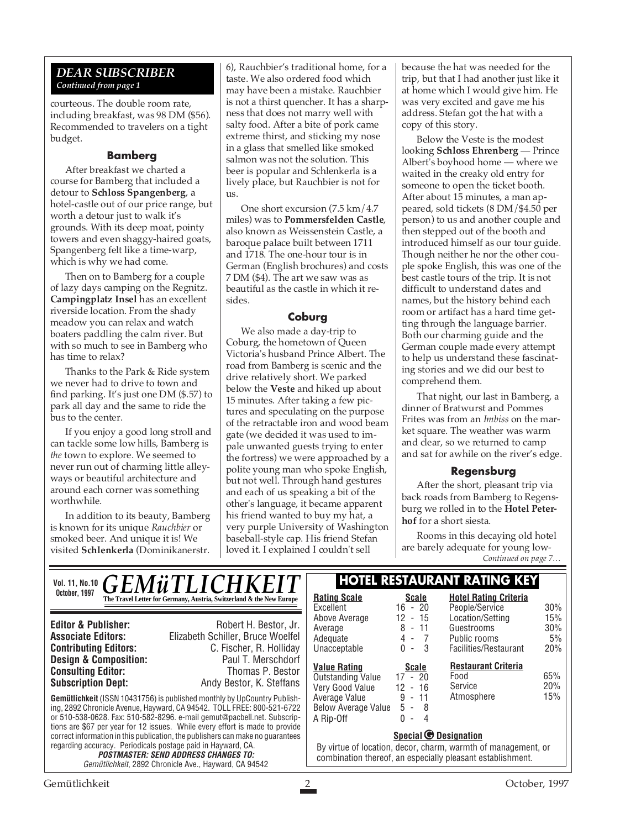### *DEAR SUBSCRIBER Continued from page 1*

courteous. The double room rate, including breakfast, was 98 DM (\$56). Recommended to travelers on a tight budget.

### **Bamberg**

After breakfast we charted a course for Bamberg that included a detour to **Schloss Spangenberg**, a hotel-castle out of our price range, but worth a detour just to walk it's grounds. With its deep moat, pointy towers and even shaggy-haired goats, Spangenberg felt like a time-warp, which is why we had come.

Then on to Bamberg for a couple of lazy days camping on the Regnitz. **Campingplatz Insel** has an excellent riverside location. From the shady meadow you can relax and watch boaters paddling the calm river. But with so much to see in Bamberg who has time to relax?

Thanks to the Park & Ride system we never had to drive to town and find parking. It's just one DM (\$.57) to park all day and the same to ride the bus to the center.

If you enjoy a good long stroll and can tackle some low hills, Bamberg is *the* town to explore. We seemed to never run out of charming little alleyways or beautiful architecture and around each corner was something worthwhile.

In addition to its beauty, Bamberg is known for its unique *Rauchbier* or smoked beer. And unique it is! We visited **Schlenkerla** (Dominikanerstr.

6), Rauchbier's traditional home, for a taste. We also ordered food which may have been a mistake. Rauchbier is not a thirst quencher. It has a sharpness that does not marry well with salty food. After a bite of pork came extreme thirst, and sticking my nose in a glass that smelled like smoked salmon was not the solution. This beer is popular and Schlenkerla is a lively place, but Rauchbier is not for us.

One short excursion (7.5 km/4.7 miles) was to **Pommersfelden Castle**, also known as Weissenstein Castle, a baroque palace built between 1711 and 1718. The one-hour tour is in German (English brochures) and costs 7 DM (\$4). The art we saw was as beautiful as the castle in which it resides.

### **Coburg**

We also made a day-trip to Coburg, the hometown of Queen Victoria's husband Prince Albert. The road from Bamberg is scenic and the drive relatively short. We parked below the **Veste** and hiked up about 15 minutes. After taking a few pictures and speculating on the purpose of the retractable iron and wood beam gate (we decided it was used to impale unwanted guests trying to enter the fortress) we were approached by a polite young man who spoke English, but not well. Through hand gestures and each of us speaking a bit of the other's language, it became apparent his friend wanted to buy my hat, a very purple University of Washington baseball-style cap. His friend Stefan loved it. I explained I couldn't sell

because the hat was needed for the trip, but that I had another just like it at home which I would give him. He was very excited and gave me his address. Stefan got the hat with a copy of this story.

Below the Veste is the modest looking **Schloss Ehrenberg** — Prince Albert's boyhood home — where we waited in the creaky old entry for someone to open the ticket booth. After about 15 minutes, a man appeared, sold tickets (8 DM/\$4.50 per person) to us and another couple and then stepped out of the booth and introduced himself as our tour guide. Though neither he nor the other couple spoke English, this was one of the best castle tours of the trip. It is not difficult to understand dates and names, but the history behind each room or artifact has a hard time getting through the language barrier. Both our charming guide and the German couple made every attempt to help us understand these fascinating stories and we did our best to comprehend them.

That night, our last in Bamberg, a dinner of Bratwurst and Pommes Frites was from an *Imbiss* on the market square. The weather was warm and clear, so we returned to camp and sat for awhile on the river's edge.

### **Regensburg**

After the short, pleasant trip via back roads from Bamberg to Regensburg we rolled in to the **Hotel Peterhof** for a short siesta.

*Continued on page 7…* Rooms in this decaying old hotel are barely adequate for young low-

| Vol. 11, No.10 $\overline{GEMWTLICHKEIT}$                                                                                                                                                                                                                                                                                              |                                                                                                                                                                                                                                                                                      | <b>HOTEL RESTAURANT RATING KEY</b>                                                                                                                              |                                                                                             |                                                                         |                         |
|----------------------------------------------------------------------------------------------------------------------------------------------------------------------------------------------------------------------------------------------------------------------------------------------------------------------------------------|--------------------------------------------------------------------------------------------------------------------------------------------------------------------------------------------------------------------------------------------------------------------------------------|-----------------------------------------------------------------------------------------------------------------------------------------------------------------|---------------------------------------------------------------------------------------------|-------------------------------------------------------------------------|-------------------------|
| October, 1997                                                                                                                                                                                                                                                                                                                          | The Travel Letter for Germany, Austria, Switzerland & the New Europe                                                                                                                                                                                                                 | <b>Rating Scale</b><br>Excellent                                                                                                                                | <b>Scale</b><br>$16 - 20$                                                                   | <b>Hotel Rating Criteria</b><br>People/Service                          | 30%                     |
| <b>Editor &amp; Publisher:</b><br><b>Associate Editors:</b><br><b>Contributing Editors:</b><br><b>Design &amp; Composition:</b>                                                                                                                                                                                                        | Robert H. Bestor, Jr.<br>Elizabeth Schiller, Bruce Woelfel<br>C. Fischer, R. Holliday<br>Paul T. Merschdorf                                                                                                                                                                          | Above Average<br>Average<br>Adequate<br>Unacceptable                                                                                                            | 12 - 15<br>$8 - 11$<br>4 -<br>$\overline{7}$<br>$0 -$<br>-3                                 | Location/Setting<br>Guestrooms<br>Public rooms<br>Facilities/Restaurant | 15%<br>30%<br>5%<br>20% |
| <b>Consulting Editor:</b><br><b>Subscription Dept:</b>                                                                                                                                                                                                                                                                                 | Thomas P. Bestor<br>Andy Bestor, K. Steffans<br><b>Gemütlichkeit</b> (ISSN 10431756) is published monthly by UpCountry Publish-<br>ing, 2892 Chronicle Avenue, Hayward, CA 94542. TOLL FREE: 800-521-6722<br>or 510-538-0628. Fax: 510-582-8296. e-mail gemut@pacbell.net. Subscrip- | <b>Value Rating</b><br>Outstanding Value<br>Very Good Value<br>Average Value<br><b>Below Average Value</b><br>A Rip-Off                                         | <b>Scale</b><br>$17 - 20$<br>$12 - 16$<br>$9 - 11$<br>5 -<br>- 8<br>$\Omega$<br>4<br>$\sim$ | <b>Restaurant Criteria</b><br>Food<br>Service<br>Atmosphere             | 65%<br>20%<br>15%       |
| tions are \$67 per year for 12 issues. While every effort is made to provide<br>correct information in this publication, the publishers can make no guarantees<br>regarding accuracy. Periodicals postage paid in Hayward, CA.<br><b>POSTMASTER: SEND ADDRESS CHANGES TO:</b><br>Gemütlichkeit, 2892 Chronicle Ave., Hayward, CA 94542 |                                                                                                                                                                                                                                                                                      | Special <sup>O</sup> Designation<br>By virtue of location, decor, charm, warmth of management, or<br>combination thereof, an especially pleasant establishment. |                                                                                             |                                                                         |                         |
| Gemütlichkeit                                                                                                                                                                                                                                                                                                                          |                                                                                                                                                                                                                                                                                      |                                                                                                                                                                 |                                                                                             |                                                                         | October, 1997           |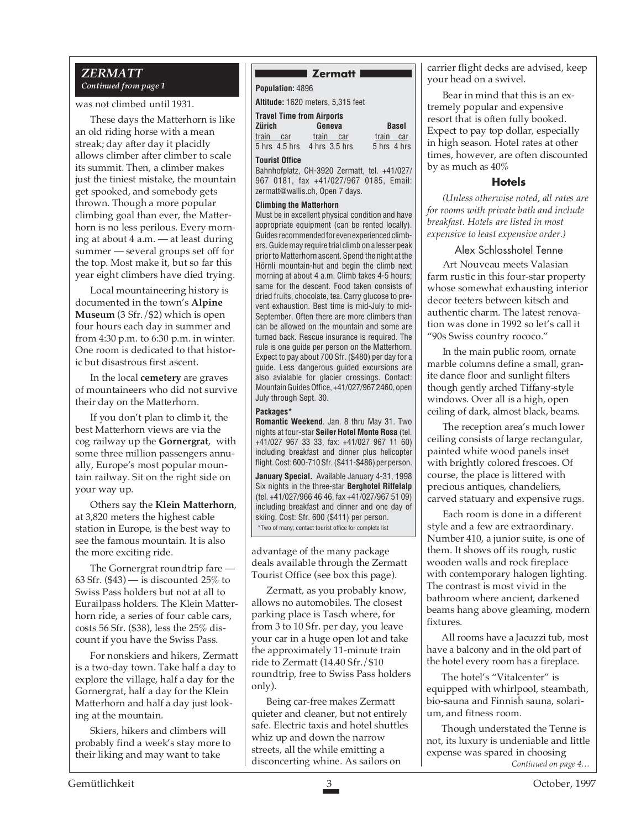### *ZERMATT Continued from page 1*

was not climbed until 1931.

These days the Matterhorn is like an old riding horse with a mean streak; day after day it placidly allows climber after climber to scale its summit. Then, a climber makes just the tiniest mistake, the mountain get spooked, and somebody gets thrown. Though a more popular climbing goal than ever, the Matterhorn is no less perilous. Every morning at about 4 a.m. — at least during summer — several groups set off for the top. Most make it, but so far this year eight climbers have died trying.

Local mountaineering history is documented in the town's **Alpine Museum** (3 Sfr./\$2) which is open four hours each day in summer and from 4:30 p.m. to 6:30 p.m. in winter. One room is dedicated to that historic but disastrous first ascent.

In the local **cemetery** are graves of mountaineers who did not survive their day on the Matterhorn.

If you don't plan to climb it, the best Matterhorn views are via the cog railway up the **Gornergrat**, with some three million passengers annually, Europe's most popular mountain railway. Sit on the right side on your way up.

Others say the **Klein Matterhorn**, at 3,820 meters the highest cable station in Europe, is the best way to see the famous mountain. It is also the more exciting ride.

The Gornergrat roundtrip fare — 63 Sfr.  $(43)$  — is discounted 25% to Swiss Pass holders but not at all to Eurailpass holders. The Klein Matterhorn ride, a series of four cable cars, costs 56 Sfr. (\$38), less the 25% discount if you have the Swiss Pass.

For nonskiers and hikers, Zermatt is a two-day town. Take half a day to explore the village, half a day for the Gornergrat, half a day for the Klein Matterhorn and half a day just looking at the mountain.

Skiers, hikers and climbers will probably find a week's stay more to their liking and may want to take

### **Zermatt**

**Population:** 4896

**Altitude:** 1620 meters, 5,315 feet

| <b>Travel Time from Airports</b> |                             |              |  |  |  |  |
|----------------------------------|-----------------------------|--------------|--|--|--|--|
| Zürich                           | Geneva                      | <b>Basel</b> |  |  |  |  |
| train<br>car                     | train<br>car                | train car    |  |  |  |  |
|                                  | 5 hrs 4.5 hrs 4 hrs 3.5 hrs | 5 hrs 4 hrs  |  |  |  |  |
| Tourist Office                   |                             |              |  |  |  |  |

Bahnhofplatz, CH-3920 Zermatt, tel. +41/027/ 967 0181, fax +41/027/967 0185, Email: zermatt@wallis.ch, Open 7 days.

#### **Climbing the Matterhorn**

Must be in excellent physical condition and have appropriate equipment (can be rented locally). Guides recommended for even experienced climbers. Guide may require trial climb on a lesser peak prior to Matterhorn ascent. Spend the night at the Hörnli mountain-hut and begin the climb next morning at about 4 a.m. Climb takes 4-5 hours; same for the descent. Food taken consists of dried fruits, chocolate, tea. Carry glucose to prevent exhaustion. Best time is mid-July to mid-September. Often there are more climbers than can be allowed on the mountain and some are turned back. Rescue insurance is required. The rule is one guide per person on the Matterhorn. Expect to pay about 700 Sfr. (\$480) per day for a guide. Less dangerous guided excursions are also avialable for glacier crossings. Contact: Mountain Guides Office, +41/027/967 2460, open July through Sept. 30.

### **Packages\***

**Romantic Weekend**. Jan. 8 thru May 31. Two nights at four-star **Seiler Hotel Monte Rosa** (tel. +41/027 967 33 33, fax: +41/027 967 11 60) including breakfast and dinner plus helicopter flight. Cost: 600-710 Sfr. (\$411-\$486) per person.

**January Special.** Available January 4-31, 1998 Six nights in the three-star **Berghotel Riffelalp** (tel. +41/027/966 46 46, fax +41/027/967 51 09) including breakfast and dinner and one day of skiing. Cost: Sfr. 600 (\$411) per person. \*Two of many; contact tourist office for complete list

advantage of the many package deals available through the Zermatt Tourist Office (see box this page).

Zermatt, as you probably know, allows no automobiles. The closest parking place is Tasch where, for from 3 to 10 Sfr. per day, you leave your car in a huge open lot and take the approximately 11-minute train ride to Zermatt (14.40 Sfr./\$10 roundtrip, free to Swiss Pass holders only).

Being car-free makes Zermatt quieter and cleaner, but not entirely safe. Electric taxis and hotel shuttles whiz up and down the narrow streets, all the while emitting a disconcerting whine. As sailors on

carrier flight decks are advised, keep your head on a swivel.

Bear in mind that this is an extremely popular and expensive resort that is often fully booked. Expect to pay top dollar, especially in high season. Hotel rates at other times, however, are often discounted by as much as 40%

### **Hotels**

*(Unless otherwise noted, all rates are for rooms with private bath and include breakfast. Hotels are listed in most expensive to least expensive order.)*

### Alex Schlosshotel Tenne

Art Nouveau meets Valasian farm rustic in this four-star property whose somewhat exhausting interior decor teeters between kitsch and authentic charm. The latest renovation was done in 1992 so let's call it "90s Swiss country rococo."

In the main public room, ornate marble columns define a small, granite dance floor and sunlight filters though gently arched Tiffany-style windows. Over all is a high, open ceiling of dark, almost black, beams.

The reception area's much lower ceiling consists of large rectangular, painted white wood panels inset with brightly colored frescoes. Of course, the place is littered with precious antiques, chandeliers, carved statuary and expensive rugs.

Each room is done in a different style and a few are extraordinary. Number 410, a junior suite, is one of them. It shows off its rough, rustic wooden walls and rock fireplace with contemporary halogen lighting. The contrast is most vivid in the bathroom where ancient, darkened beams hang above gleaming, modern fixtures.

All rooms have a Jacuzzi tub, most have a balcony and in the old part of the hotel every room has a fireplace.

The hotel's "Vitalcenter" is equipped with whirlpool, steambath, bio-sauna and Finnish sauna, solarium, and fitness room.

*Continued on page 4…* Though understated the Tenne is not, its luxury is undeniable and little expense was spared in choosing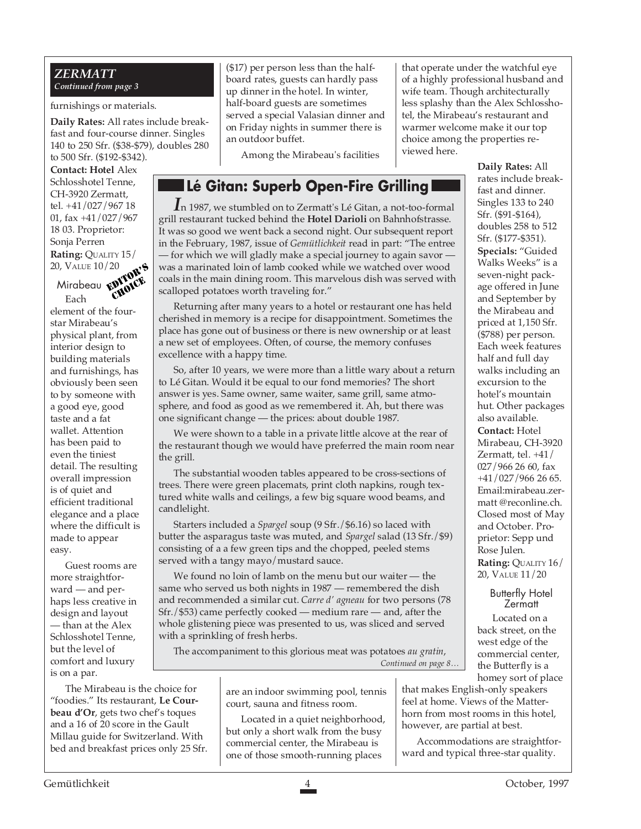### *ZERMATT Continued from page 3*

furnishings or materials.

**Daily Rates:** All rates include breakfast and four-course dinner. Singles 140 to 250 Sfr. (\$38-\$79), doubles 280 to 500 Sfr. (\$192-\$342).

**Contact: Hotel** Alex Schlosshotel Tenne, CH-3920 Zermatt, tel. +41/027/967 18 01, fax +41/027/967 18 03. Proprietor: Sonja Perren **Rating:** QUALITY 15/ 20, VALUE 10/20

Mirabeau irabeau **rwydd**d©<br>Each

element of the fourstar Mirabeau's physical plant, from interior design to building materials and furnishings, has obviously been seen to by someone with a good eye, good taste and a fat wallet. Attention has been paid to even the tiniest detail. The resulting overall impression is of quiet and efficient traditional elegance and a place where the difficult is made to appear easy.

Guest rooms are more straightforward — and perhaps less creative in design and layout — than at the Alex Schlosshotel Tenne, but the level of comfort and luxury is on a par.

The Mirabeau is the choice for "foodies." Its restaurant, **Le Courbeau d'Or**, gets two chef's toques and a 16 of 20 score in the Gault Millau guide for Switzerland. With bed and breakfast prices only 25 Sfr.

(\$17) per person less than the halfboard rates, guests can hardly pass up dinner in the hotel. In winter, half-board guests are sometimes served a special Valasian dinner and on Friday nights in summer there is an outdoor buffet.

Among the Mirabeau's facilities

that operate under the watchful eye of a highly professional husband and wife team. Though architecturally less splashy than the Alex Schlosshotel, the Mirabeau's restaurant and warmer welcome make it our top choice among the properties reviewed here.

## **Lé Gitan: Superb Open-Fire Grilling**

*I*n 1987, we stumbled on to Zermatt's Lé Gitan, a not-too-formal grill restaurant tucked behind the **Hotel Darioli** on Bahnhofstrasse. It was so good we went back a second night. Our subsequent report in the February, 1987, issue of *Gemütlichkeit* read in part: "The entree — for which we will gladly make a special journey to again savor was a marinated loin of lamb cooked while we watched over wood coals in the main dining room. This marvelous dish was served with scalloped potatoes worth traveling for."

Returning after many years to a hotel or restaurant one has held cherished in memory is a recipe for disappointment. Sometimes the place has gone out of business or there is new ownership or at least a new set of employees. Often, of course, the memory confuses excellence with a happy time.

So, after 10 years, we were more than a little wary about a return to Lé Gitan. Would it be equal to our fond memories? The short answer is yes. Same owner, same waiter, same grill, same atmosphere, and food as good as we remembered it. Ah, but there was one significant change — the prices: about double 1987.

We were shown to a table in a private little alcove at the rear of the restaurant though we would have preferred the main room near the grill.

The substantial wooden tables appeared to be cross-sections of trees. There were green placemats, print cloth napkins, rough textured white walls and ceilings, a few big square wood beams, and candlelight.

Starters included a *Spargel* soup (9 Sfr./\$6.16) so laced with butter the asparagus taste was muted, and *Spargel* salad (13 Sfr./\$9) consisting of a a few green tips and the chopped, peeled stems served with a tangy mayo/mustard sauce.

We found no loin of lamb on the menu but our waiter — the same who served us both nights in 1987 — remembered the dish and recommended a similar cut. *Carre d' agneau* for two persons (78 Sfr./\$53) came perfectly cooked — medium rare — and, after the whole glistening piece was presented to us, was sliced and served with a sprinkling of fresh herbs. 20<br> **EXERCT**<br> **EXERCT A** was a marinated loin of lamb cooked while we watched over wood<br>
scalloped potatoes worth traveling for."<br> **EXECUTE A** collision is a recipe for disappointment. Sometimes the<br>
referencing after many

*Continued on page 5…* The accompaniment to this glorious meat was potatoes *au gratin*,

> are an indoor swimming pool, tennis court, sauna and fitness room.

> Located in a quiet neighborhood, but only a short walk from the busy commercial center, the Mirabeau is one of those smooth-running places

**Daily Rates:** All rates include breakfast and dinner. Singles 133 to 240 Sfr. (\$91-\$164), doubles 258 to 512 Sfr. (\$177-\$351). **Specials:** "Guided Walks Weeks" is a seven-night package offered in June and September by the Mirabeau and priced at 1,150 Sfr. (\$788) per person. Each week features half and full day walks including an excursion to the hotel's mountain hut. Other packages also available. **Contact:** Hotel Mirabeau, CH-3920 Zermatt, tel. +41/ 027/966 26 60, fax +41/027/966 26 65. Email:mirabeau.zermatt @reconline.ch. Closed most of May and October. Proprietor: Sepp und Rose Julen. **Rating:** QUALITY 16/ 20, VALUE 11/20

> Butterfly Hotel **Zermatt**

Located on a back street, on the west edge of the commercial center, the Butterfly is a

homey sort of place that makes English-only speakers feel at home. Views of the Matterhorn from most rooms in this hotel, however, are partial at best.

Accommodations are straightforward and typical three-star quality.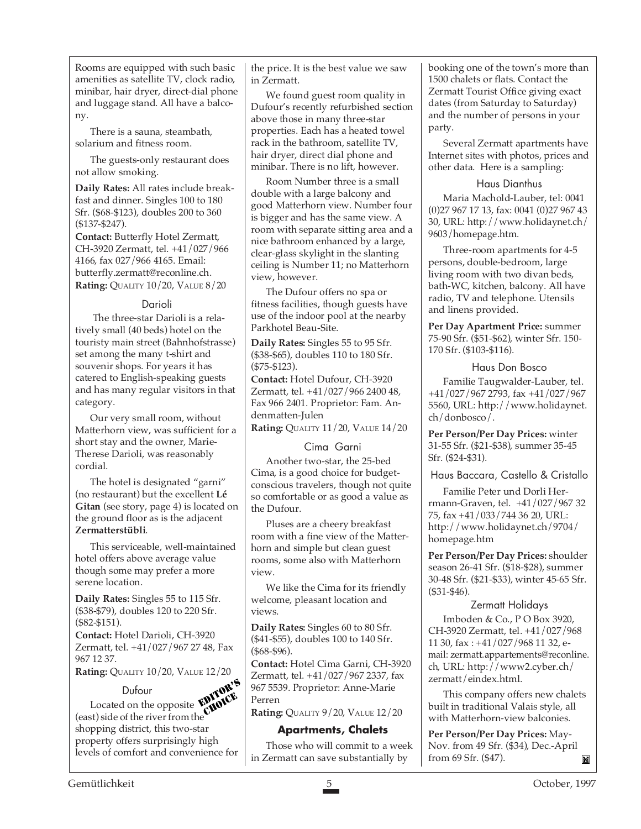Rooms are equipped with such basic amenities as satellite TV, clock radio, minibar, hair dryer, direct-dial phone and luggage stand. All have a balcony.

There is a sauna, steambath, solarium and fitness room.

The guests-only restaurant does not allow smoking.

**Daily Rates:** All rates include breakfast and dinner. Singles 100 to 180 Sfr. (\$68-\$123), doubles 200 to 360 (\$137-\$247).

**Contact:** Butterfly Hotel Zermatt, CH-3920 Zermatt, tel. +41/027/966 4166, fax 027/966 4165. Email: butterfly.zermatt@reconline.ch. **Rating: QUALITY 10/20, VALUE 8/20** 

### Darioli

 The three-star Darioli is a relatively small (40 beds) hotel on the touristy main street (Bahnhofstrasse) set among the many t-shirt and souvenir shops. For years it has catered to English-speaking guests and has many regular visitors in that category.

Our very small room, without Matterhorn view, was sufficient for a short stay and the owner, Marie-Therese Darioli, was reasonably cordial.

The hotel is designated "garni" (no restaurant) but the excellent **Lé Gitan** (see story, page 4) is located on the ground floor as is the adjacent **Zermatterstübli**.

This serviceable, well-maintained hotel offers above average value though some may prefer a more serene location.

**Daily Rates:** Singles 55 to 115 Sfr. (\$38-\$79), doubles 120 to 220 Sfr. (\$82-\$151).

**Contact:** Hotel Darioli, CH-3920 Zermatt, tel. +41/027/967 27 48, Fax 967 12 37.

**Rating:** QUALITY 10/20, VALUE 12/20

Dufour Dufour<br>Located on the opposite **ENITOR'S** (east) side of the river from the shopping district, this two-star property offers surprisingly high levels of comfort and convenience for CHOICE

the price. It is the best value we saw in Zermatt.

We found guest room quality in Dufour's recently refurbished section above those in many three-star properties. Each has a heated towel rack in the bathroom, satellite TV, hair dryer, direct dial phone and minibar. There is no lift, however.

Room Number three is a small double with a large balcony and good Matterhorn view. Number four is bigger and has the same view. A room with separate sitting area and a nice bathroom enhanced by a large, clear-glass skylight in the slanting ceiling is Number 11; no Matterhorn view, however.

The Dufour offers no spa or fitness facilities, though guests have use of the indoor pool at the nearby Parkhotel Beau-Site.

**Daily Rates:** Singles 55 to 95 Sfr. (\$38-\$65), doubles 110 to 180 Sfr. (\$75-\$123).

**Contact:** Hotel Dufour, CH-3920 Zermatt, tel. +41/027/966 2400 48, Fax 966 2401. Proprietor: Fam. Andenmatten-Julen

**Rating:** QUALITY 11/20, VALUE 14/20

### Cima Garni

Another two-star, the 25-bed Cima, is a good choice for budgetconscious travelers, though not quite so comfortable or as good a value as the Dufour.

Pluses are a cheery breakfast room with a fine view of the Matterhorn and simple but clean guest rooms, some also with Matterhorn view.

We like the Cima for its friendly welcome, pleasant location and views.

**Daily Rates:** Singles 60 to 80 Sfr. (\$41-\$55), doubles 100 to 140 Sfr. (\$68-\$96).

**Contact:** Hotel Cima Garni, CH-3920 Zermatt, tel. +41/027/967 2337, fax 967 5539. Proprietor: Anne-Marie Perren

**Rating:** QUALITY 9/20, VALUE 12/20

### **Apartments, Chalets**

Those who will commit to a week in Zermatt can save substantially by

booking one of the town's more than 1500 chalets or flats. Contact the Zermatt Tourist Office giving exact dates (from Saturday to Saturday) and the number of persons in your party.

Several Zermatt apartments have Internet sites with photos, prices and other data. Here is a sampling:

### Haus Dianthus

Maria Machold-Lauber, tel: 0041 (0)27 967 17 13, fax: 0041 (0)27 967 43 30, URL: http://www.holidaynet.ch/ 9603/homepage.htm.

Three-room apartments for 4-5 persons, double-bedroom, large living room with two divan beds, bath-WC, kitchen, balcony. All have radio, TV and telephone. Utensils and linens provided.

**Per Day Apartment Price:** summer 75-90 Sfr. (\$51-\$62), winter Sfr. 150- 170 Sfr. (\$103-\$116).

### Haus Don Bosco

Familie Taugwalder-Lauber, tel. +41/027/967 2793, fax +41/027/967 5560, URL: http://www.holidaynet. ch/donbosco/.

**Per Person/Per Day Prices:** winter 31-55 Sfr. (\$21-\$38), summer 35-45 Sfr. (\$24-\$31).

Haus Baccara, Castello & Cristallo

Familie Peter und Dorli Herrmann-Graven, tel. +41/027/967 32 75, fax +41/033/744 36 20, URL: http://www.holidaynet.ch/9704/ homepage.htm

**Per Person/Per Day Prices:** shoulder season 26-41 Sfr. (\$18-\$28), summer 30-48 Sfr. (\$21-\$33), winter 45-65 Sfr. (\$31-\$46).

### Zermatt Holidays

Imboden & Co., P O Box 3920, CH-3920 Zermatt, tel. +41/027/968 11 30, fax : +41/027/968 11 32, email: zermatt.appartements@reconline. ch, URL: http://www2.cyber.ch/ zermatt/eindex.html.

This company offers new chalets built in traditional Valais style, all with Matterhorn-view balconies.

**Per Person/Per Day Prices:** May-Nov. from 49 Sfr. (\$34), Dec.-April from 69 Sfr. (\$47). M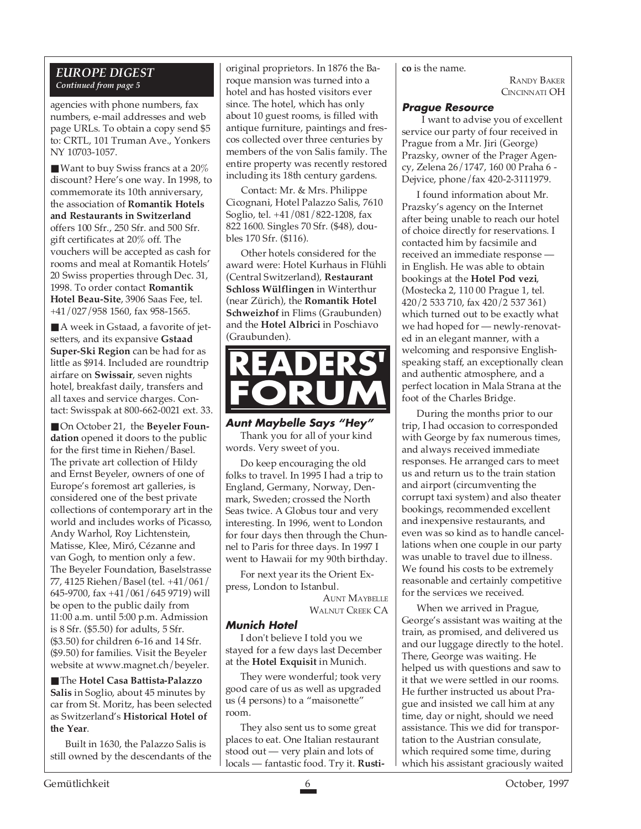### *EUROPE DIGEST Continued from page 5*

agencies with phone numbers, fax numbers, e-mail addresses and web page URLs. To obtain a copy send \$5 to: CRTL, 101 Truman Ave., Yonkers NY 10703-1057.

 $\blacksquare$  Want to buy Swiss francs at a 20% discount? Here's one way. In 1998, to commemorate its 10th anniversary, the association of **Romantik Hotels and Restaurants in Switzerland** offers 100 Sfr., 250 Sfr. and 500 Sfr. gift certificates at 20% off. The vouchers will be accepted as cash for rooms and meal at Romantik Hotels' 20 Swiss properties through Dec. 31, 1998. To order contact **Romantik Hotel Beau-Site**, 3906 Saas Fee, tel. +41/027/958 1560, fax 958-1565.

■ A week in Gstaad, a favorite of jetsetters, and its expansive **Gstaad Super-Ski Region** can be had for as little as \$914. Included are roundtrip airfare on **Swissair**, seven nights hotel, breakfast daily, transfers and all taxes and service charges. Contact: Swisspak at 800-662-0021 ext. 33.

■ On October 21, the **Beyeler Foundation** opened it doors to the public for the first time in Riehen/Basel. The private art collection of Hildy and Ernst Beyeler, owners of one of Europe's foremost art galleries, is considered one of the best private collections of contemporary art in the world and includes works of Picasso, Andy Warhol, Roy Lichtenstein, Matisse, Klee, Miró, Cézanne and van Gogh, to mention only a few. The Beyeler Foundation, Baselstrasse 77, 4125 Riehen/Basel (tel. +41/061/ 645-9700, fax +41/061/645 9719) will be open to the public daily from 11:00 a.m. until 5:00 p.m. Admission is 8 Sfr. (\$5.50) for adults, 5 Sfr. (\$3.50) for children 6-16 and 14 Sfr. (\$9.50) for families. Visit the Beyeler website at www.magnet.ch/beyeler.

■ The **Hotel Casa Battista-Palazzo Salis** in Soglio, about 45 minutes by car from St. Moritz, has been selected as Switzerland's **Historical Hotel of the Year**.

Built in 1630, the Palazzo Salis is still owned by the descendants of the

original proprietors. In 1876 the Baroque mansion was turned into a hotel and has hosted visitors ever since. The hotel, which has only about 10 guest rooms, is filled with antique furniture, paintings and frescos collected over three centuries by members of the von Salis family. The entire property was recently restored including its 18th century gardens.

Contact: Mr. & Mrs. Philippe Cicognani, Hotel Palazzo Salis, 7610 Soglio, tel. +41/081/822-1208, fax 822 1600. Singles 70 Sfr. (\$48), doubles 170 Sfr. (\$116).

Other hotels considered for the award were: Hotel Kurhaus in Flühli (Central Switzerland), **Restaurant Schloss Wülflingen** in Winterthur (near Zürich), the **Romantik Hotel Schweizhof** in Flims (Graubunden) and the **Hotel Albrici** in Poschiavo (Graubunden).



**Aunt Maybelle Says "Hey"** Thank you for all of your kind words. Very sweet of you.

Do keep encouraging the old folks to travel. In 1995 I had a trip to England, Germany, Norway, Denmark, Sweden; crossed the North Seas twice. A Globus tour and very interesting. In 1996, went to London for four days then through the Chunnel to Paris for three days. In 1997 I went to Hawaii for my 90th birthday.

For next year its the Orient Express, London to Istanbul.

> AUNT MAYBELLE WALNUT CREEK CA

### **Munich Hotel**

I don't believe I told you we stayed for a few days last December at the **Hotel Exquisit** in Munich.

They were wonderful; took very good care of us as well as upgraded us (4 persons) to a "maisonette" room.

They also sent us to some great places to eat. One Italian restaurant stood out — very plain and lots of locals — fantastic food. Try it. **Rusti-** **co** is the name.

RANDY BAKER CINCINNATI OH

### **Prague Resource**

 I want to advise you of excellent service our party of four received in Prague from a Mr. Jiri (George) Prazsky, owner of the Prager Agency, Zelena 26/1747, 160 00 Praha 6 - Dejvice, phone/fax 420-2-3111979.

I found information about Mr. Prazsky's agency on the Internet after being unable to reach our hotel of choice directly for reservations. I contacted him by facsimile and received an immediate response in English. He was able to obtain bookings at the **Hotel Pod vezi**, (Mostecka 2, 110 00 Prague 1, tel. 420/2 533 710, fax 420/2 537 361) which turned out to be exactly what we had hoped for — newly-renovated in an elegant manner, with a welcoming and responsive Englishspeaking staff, an exceptionally clean and authentic atmosphere, and a perfect location in Mala Strana at the foot of the Charles Bridge.

During the months prior to our trip, I had occasion to corresponded with George by fax numerous times, and always received immediate responses. He arranged cars to meet us and return us to the train station and airport (circumventing the corrupt taxi system) and also theater bookings, recommended excellent and inexpensive restaurants, and even was so kind as to handle cancellations when one couple in our party was unable to travel due to illness. We found his costs to be extremely reasonable and certainly competitive for the services we received.

When we arrived in Prague, George's assistant was waiting at the train, as promised, and delivered us and our luggage directly to the hotel. There, George was waiting. He helped us with questions and saw to it that we were settled in our rooms. He further instructed us about Prague and insisted we call him at any time, day or night, should we need assistance. This we did for transportation to the Austrian consulate, which required some time, during which his assistant graciously waited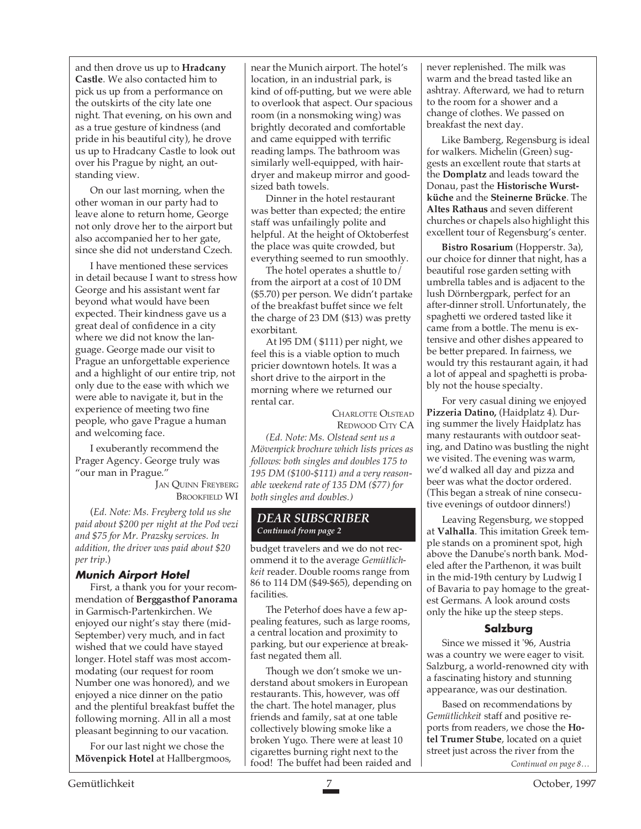and then drove us up to **Hradcany Castle**. We also contacted him to pick us up from a performance on the outskirts of the city late one night. That evening, on his own and as a true gesture of kindness (and pride in his beautiful city), he drove us up to Hradcany Castle to look out over his Prague by night, an outstanding view.

On our last morning, when the other woman in our party had to leave alone to return home, George not only drove her to the airport but also accompanied her to her gate, since she did not understand Czech.

I have mentioned these services in detail because I want to stress how George and his assistant went far beyond what would have been expected. Their kindness gave us a great deal of confidence in a city where we did not know the language. George made our visit to Prague an unforgettable experience and a highlight of our entire trip, not only due to the ease with which we were able to navigate it, but in the experience of meeting two fine people, who gave Prague a human and welcoming face.

I exuberantly recommend the Prager Agency. George truly was "our man in Prague."

> JAN QUINN FREYBERG BROOKFIELD WI

(*Ed. Note: Ms. Freyberg told us she paid about \$200 per night at the Pod vezi and \$75 for Mr. Prazsky services. In addition, the driver was paid about \$20 per trip*.)

### **Munich Airport Hotel**

First, a thank you for your recommendation of **Berggasthof Panorama** in Garmisch-Partenkirchen. We enjoyed our night's stay there (mid-September) very much, and in fact wished that we could have stayed longer. Hotel staff was most accommodating (our request for room Number one was honored), and we enjoyed a nice dinner on the patio and the plentiful breakfast buffet the following morning. All in all a most pleasant beginning to our vacation.

For our last night we chose the **Mövenpick Hotel** at Hallbergmoos, near the Munich airport. The hotel's location, in an industrial park, is kind of off-putting, but we were able to overlook that aspect. Our spacious room (in a nonsmoking wing) was brightly decorated and comfortable and came equipped with terrific reading lamps. The bathroom was similarly well-equipped, with hairdryer and makeup mirror and goodsized bath towels.

Dinner in the hotel restaurant was better than expected; the entire staff was unfailingly polite and helpful. At the height of Oktoberfest the place was quite crowded, but everything seemed to run smoothly.

The hotel operates a shuttle to/ from the airport at a cost of 10 DM (\$5.70) per person. We didn't partake of the breakfast buffet since we felt the charge of 23 DM (\$13) was pretty exorbitant.

At l95 DM ( \$111) per night, we feel this is a viable option to much pricier downtown hotels. It was a short drive to the airport in the morning where we returned our rental car.

> CHARLOTTE OLSTEAD REDWOOD CITY CA

*(Ed. Note: Ms. Olstead sent us a Mövenpick brochure which lists prices as follows: both singles and doubles 175 to 195 DM (\$100-\$111) and a very reasonable weekend rate of 135 DM (\$77) for both singles and doubles.)*

### *DEAR SUBSCRIBER Continued from page 2*

budget travelers and we do not recommend it to the average *Gemütlichkeit* reader. Double rooms range from 86 to 114 DM (\$49-\$65), depending on facilities.

The Peterhof does have a few appealing features, such as large rooms, a central location and proximity to parking, but our experience at breakfast negated them all.

Though we don't smoke we understand about smokers in European restaurants. This, however, was off the chart. The hotel manager, plus friends and family, sat at one table collectively blowing smoke like a broken Yugo. There were at least 10 cigarettes burning right next to the food! The buffet had been raided and never replenished. The milk was warm and the bread tasted like an ashtray. Afterward, we had to return to the room for a shower and a change of clothes. We passed on breakfast the next day.

Like Bamberg, Regensburg is ideal for walkers. Michelin (Green) suggests an excellent route that starts at the **Domplatz** and leads toward the Donau, past the **Historische Wurstküche** and the **Steinerne Brücke**. The **Altes Rathaus** and seven different churches or chapels also highlight this excellent tour of Regensburg's center.

**Bistro Rosarium** (Hopperstr. 3a), our choice for dinner that night, has a beautiful rose garden setting with umbrella tables and is adjacent to the lush Dörnbergpark, perfect for an after-dinner stroll. Unfortunately, the spaghetti we ordered tasted like it came from a bottle. The menu is extensive and other dishes appeared to be better prepared. In fairness, we would try this restaurant again, it had a lot of appeal and spaghetti is probably not the house specialty.

For very casual dining we enjoyed **Pizzeria Datino,** (Haidplatz 4). During summer the lively Haidplatz has many restaurants with outdoor seating, and Datino was bustling the night we visited. The evening was warm, we'd walked all day and pizza and beer was what the doctor ordered. (This began a streak of nine consecutive evenings of outdoor dinners!)

Leaving Regensburg, we stopped at **Valhalla**. This imitation Greek temple stands on a prominent spot, high above the Danube's north bank. Modeled after the Parthenon, it was built in the mid-19th century by Ludwig I of Bavaria to pay homage to the greatest Germans. A look around costs only the hike up the steep steps.

### **Salzburg**

Since we missed it '96, Austria was a country we were eager to visit. Salzburg, a world-renowned city with a fascinating history and stunning appearance, was our destination.

Based on recommendations by *Gemütlichkeit* staff and positive reports from readers, we chose the **Hotel Trumer Stube**, located on a quiet street just across the river from the

*Continued on page 8…*